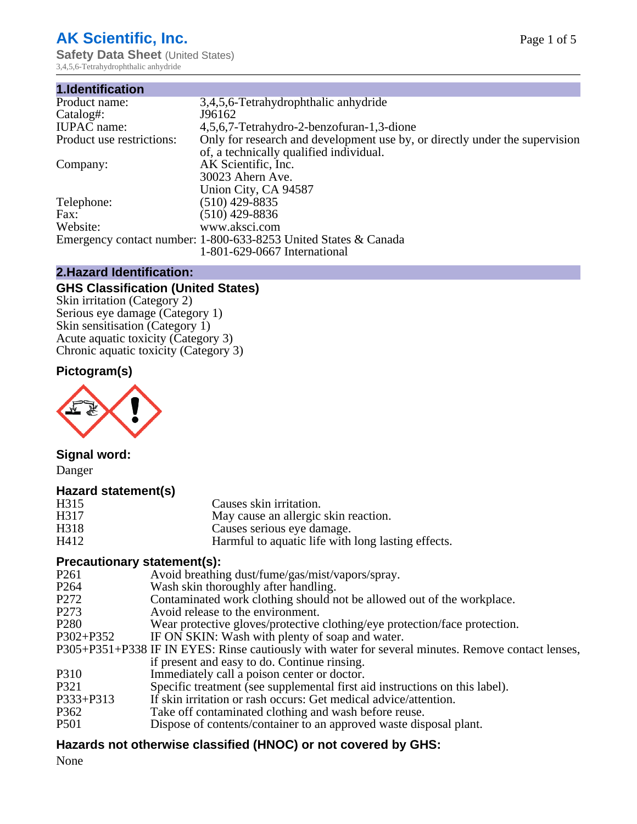# **AK Scientific, Inc.**

**Safety Data Sheet (United States)** 3,4,5,6-Tetrahydrophthalic anhydride

| 1.Identification          |                                                                             |
|---------------------------|-----------------------------------------------------------------------------|
| Product name:             | 3,4,5,6-Tetrahydrophthalic anhydride                                        |
| Catalog#:                 | J96162                                                                      |
| <b>IUPAC</b> name:        | 4,5,6,7-Tetrahydro-2-benzofuran-1,3-dione                                   |
| Product use restrictions: | Only for research and development use by, or directly under the supervision |
|                           | of, a technically qualified individual.                                     |
| Company:                  | AK Scientific, Inc.                                                         |
|                           | 30023 Ahern Ave.                                                            |
|                           | Union City, CA 94587                                                        |
| Telephone:                | $(510)$ 429-8835                                                            |
| Fax:                      | $(510)$ 429-8836                                                            |
| Website:                  | www.aksci.com                                                               |
|                           | Emergency contact number: 1-800-633-8253 United States & Canada             |
|                           | 1-801-629-0667 International                                                |

## **2.Hazard Identification:**

# **GHS Classification (United States)**

Skin irritation (Category 2) Serious eye damage (Category 1) Skin sensitisation (Category 1) Acute aquatic toxicity (Category 3) Chronic aquatic toxicity (Category 3)

## **Pictogram(s)**



## **Signal word:**

Danger

### **Hazard statement(s)**

| H315 | Causes skin irritation.                            |
|------|----------------------------------------------------|
| H317 | May cause an allergic skin reaction.               |
| H318 | Causes serious eye damage.                         |
| H412 | Harmful to aquatic life with long lasting effects. |
|      |                                                    |

## **Precautionary statement(s):**

| $\ldots$         |                                                                                                    |
|------------------|----------------------------------------------------------------------------------------------------|
| P <sub>261</sub> | Avoid breathing dust/fume/gas/mist/vapors/spray.                                                   |
| P <sub>264</sub> | Wash skin thoroughly after handling.                                                               |
| P <sub>272</sub> | Contaminated work clothing should not be allowed out of the workplace.                             |
| P <sub>273</sub> | Avoid release to the environment.                                                                  |
| P <sub>280</sub> | Wear protective gloves/protective clothing/eye protection/face protection.                         |
| P302+P352        | IF ON SKIN: Wash with plenty of soap and water.                                                    |
|                  | P305+P351+P338 IF IN EYES: Rinse cautiously with water for several minutes. Remove contact lenses, |
|                  | if present and easy to do. Continue rinsing.                                                       |
| P310             | Immediately call a poison center or doctor.                                                        |
| P321             | Specific treatment (see supplemental first aid instructions on this label).                        |
| P333+P313        | If skin irritation or rash occurs: Get medical advice/attention.                                   |
| P362             | Take off contaminated clothing and wash before reuse.                                              |
| <b>P501</b>      | Dispose of contents/container to an approved waste disposal plant.                                 |
|                  |                                                                                                    |

## **Hazards not otherwise classified (HNOC) or not covered by GHS:**

None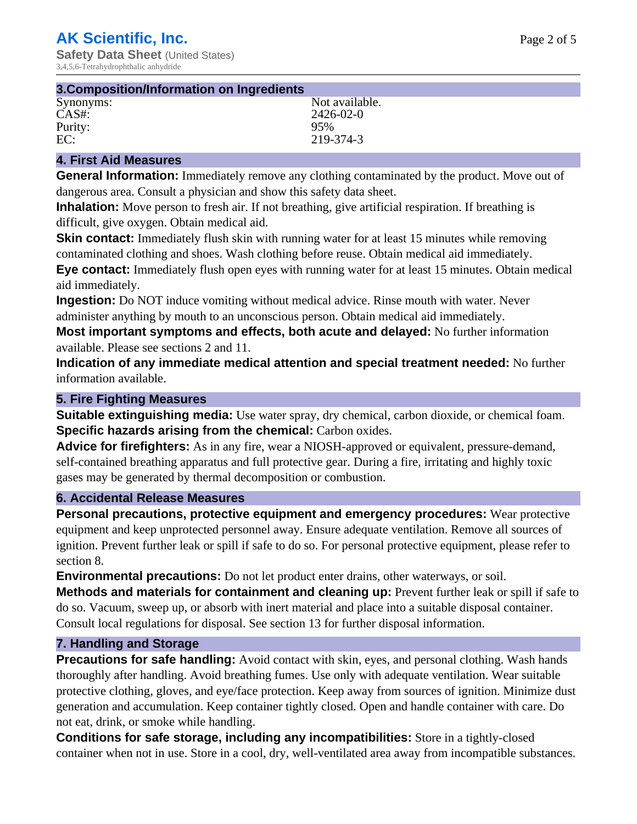| 3. Composition/Information on Ingredients |                |  |
|-------------------------------------------|----------------|--|
| Synonyms:                                 | Not available. |  |
| CAS#:                                     | 2426-02-0      |  |
| Purity:                                   | 95%            |  |
| EC:                                       | 219-374-3      |  |

## **4. First Aid Measures**

**General Information:** Immediately remove any clothing contaminated by the product. Move out of dangerous area. Consult a physician and show this safety data sheet.

**Inhalation:** Move person to fresh air. If not breathing, give artificial respiration. If breathing is difficult, give oxygen. Obtain medical aid.

**Skin contact:** Immediately flush skin with running water for at least 15 minutes while removing contaminated clothing and shoes. Wash clothing before reuse. Obtain medical aid immediately. **Eye contact:** Immediately flush open eyes with running water for at least 15 minutes. Obtain medical aid immediately.

**Ingestion:** Do NOT induce vomiting without medical advice. Rinse mouth with water. Never administer anything by mouth to an unconscious person. Obtain medical aid immediately.

**Most important symptoms and effects, both acute and delayed:** No further information available. Please see sections 2 and 11.

**Indication of any immediate medical attention and special treatment needed:** No further information available.

### **5. Fire Fighting Measures**

**Suitable extinguishing media:** Use water spray, dry chemical, carbon dioxide, or chemical foam. **Specific hazards arising from the chemical:** Carbon oxides.

**Advice for firefighters:** As in any fire, wear a NIOSH-approved or equivalent, pressure-demand, self-contained breathing apparatus and full protective gear. During a fire, irritating and highly toxic gases may be generated by thermal decomposition or combustion.

## **6. Accidental Release Measures**

**Personal precautions, protective equipment and emergency procedures:** Wear protective equipment and keep unprotected personnel away. Ensure adequate ventilation. Remove all sources of ignition. Prevent further leak or spill if safe to do so. For personal protective equipment, please refer to section 8.

**Environmental precautions:** Do not let product enter drains, other waterways, or soil.

**Methods and materials for containment and cleaning up:** Prevent further leak or spill if safe to do so. Vacuum, sweep up, or absorb with inert material and place into a suitable disposal container. Consult local regulations for disposal. See section 13 for further disposal information.

### **7. Handling and Storage**

**Precautions for safe handling:** Avoid contact with skin, eyes, and personal clothing. Wash hands thoroughly after handling. Avoid breathing fumes. Use only with adequate ventilation. Wear suitable protective clothing, gloves, and eye/face protection. Keep away from sources of ignition. Minimize dust generation and accumulation. Keep container tightly closed. Open and handle container with care. Do not eat, drink, or smoke while handling.

**Conditions for safe storage, including any incompatibilities:** Store in a tightly-closed container when not in use. Store in a cool, dry, well-ventilated area away from incompatible substances.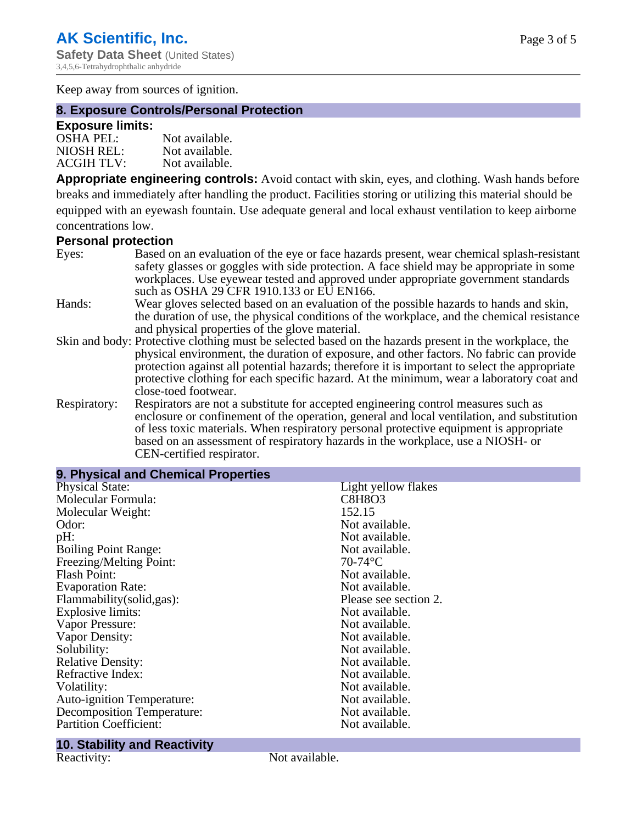Keep away from sources of ignition.

## **8. Exposure Controls/Personal Protection**

#### **Exposure limits:**

| <b>OSHA PEL:</b>  | Not available. |
|-------------------|----------------|
| NIOSH REL:        | Not available. |
| <b>ACGIH TLV:</b> | Not available. |

**Appropriate engineering controls:** Avoid contact with skin, eyes, and clothing. Wash hands before breaks and immediately after handling the product. Facilities storing or utilizing this material should be equipped with an eyewash fountain. Use adequate general and local exhaust ventilation to keep airborne concentrations low.

## **Personal protection**

| Eyes:        | Based on an evaluation of the eye or face hazards present, wear chemical splash-resistant<br>safety glasses or goggles with side protection. A face shield may be appropriate in some                                                                                                                                                                         |
|--------------|---------------------------------------------------------------------------------------------------------------------------------------------------------------------------------------------------------------------------------------------------------------------------------------------------------------------------------------------------------------|
|              | workplaces. Use eyewear tested and approved under appropriate government standards<br>such as OSHA 29 CFR 1910.133 or EU EN166.                                                                                                                                                                                                                               |
| Hands:       | Wear gloves selected based on an evaluation of the possible hazards to hands and skin,<br>the duration of use, the physical conditions of the workplace, and the chemical resistance                                                                                                                                                                          |
|              | and physical properties of the glove material.                                                                                                                                                                                                                                                                                                                |
|              | Skin and body: Protective clothing must be selected based on the hazards present in the workplace, the                                                                                                                                                                                                                                                        |
|              | physical environment, the duration of exposure, and other factors. No fabric can provide<br>protection against all potential hazards; therefore it is important to select the appropriate<br>protective clothing for each specific hazard. At the minimum, wear a laboratory coat and<br>close-toed footwear.                                                 |
| Respiratory: | Respirators are not a substitute for accepted engineering control measures such as<br>enclosure or confinement of the operation, general and local ventilation, and substitution<br>of less toxic materials. When respiratory personal protective equipment is appropriate<br>based on an assessment of respiratory hazards in the workplace, use a NIOSH- or |

CEN-certified respirator.

| 9. Physical and Chemical Properties |                       |
|-------------------------------------|-----------------------|
| <b>Physical State:</b>              | Light yellow flakes   |
| Molecular Formula:                  | <b>C8H8O3</b>         |
| Molecular Weight:                   | 152.15                |
| Odor:                               | Not available.        |
| pH:                                 | Not available.        |
| <b>Boiling Point Range:</b>         | Not available.        |
| Freezing/Melting Point:             | $70-74$ °C            |
| <b>Flash Point:</b>                 | Not available.        |
| <b>Evaporation Rate:</b>            | Not available.        |
| Flammability(solid,gas):            | Please see section 2. |
| Explosive limits:                   | Not available.        |
| Vapor Pressure:                     | Not available.        |
| Vapor Density:                      | Not available.        |
| Solubility:                         | Not available.        |
| <b>Relative Density:</b>            | Not available.        |
| Refractive Index:                   | Not available.        |
| Volatility:                         | Not available.        |
| <b>Auto-ignition Temperature:</b>   | Not available.        |
| Decomposition Temperature:          | Not available.        |
| <b>Partition Coefficient:</b>       | Not available.        |

## **10. Stability and Reactivity**

Reactivity: Not available.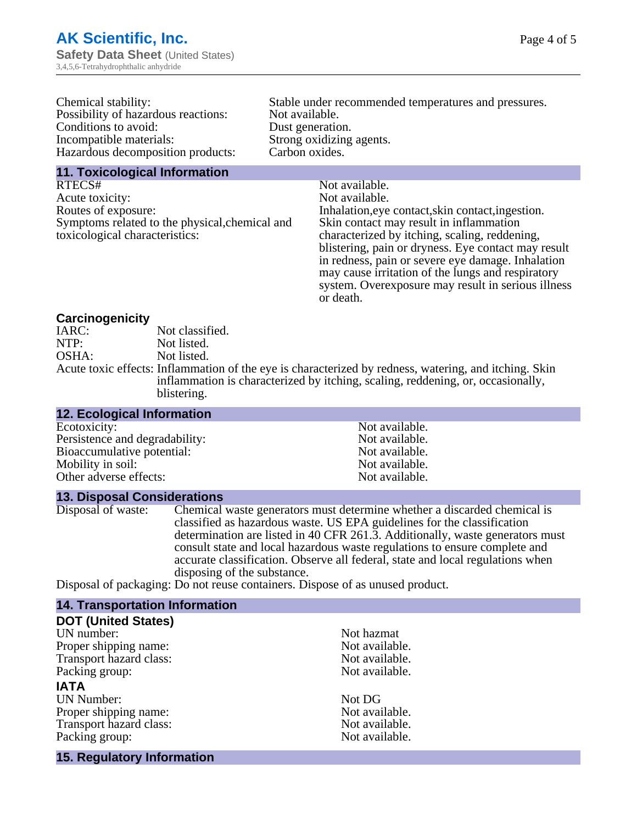| Chemical stability:                 | Stable under recommended temperatures and pressures. |
|-------------------------------------|------------------------------------------------------|
| Possibility of hazardous reactions: | Not available.                                       |
| Conditions to avoid:                | Dust generation.                                     |
| Incompatible materials:             | Strong oxidizing agents.                             |
| Hazardous decomposition products:   | Carbon oxides.                                       |
| 11. Toxicological Information       |                                                      |

RTECS# Not available. Acute toxicity: Not available.<br>
Routes of exposure: Inhalation, eye Symptoms related to the physical,chemical and toxicological characteristics:

Inhalation, eye contact, skin contact, ingestion. Skin contact may result in inflammation characterized by itching, scaling, reddening, blistering, pain or dryness. Eye contact may result in redness, pain or severe eye damage. Inhalation may cause irritation of the lungs and respiratory system. Overexposure may result in serious illness or death.

#### **Carcinogenicity**

| IARC: | Not classified.                                                                                       |
|-------|-------------------------------------------------------------------------------------------------------|
| NTP:  | Not listed.                                                                                           |
| OSHA: | Not listed.                                                                                           |
|       | Acute toxic effects: Inflammation of the eye is characterized by redness, watering, and itching. Skin |
|       | inflammation is characterized by itching, scaling, reddening, or, occasionally,                       |
|       | blistering.                                                                                           |

#### **12. Ecological Information** Ecotoxicity: Not available.<br>
Persistence and degradability: Not available.<br>
Not available. Persistence and degradability:<br>
Bioaccumulative potential:<br>
Not available.<br>
Not available. Bioaccumulative potential:<br>
Mobility in soil:<br>
Mobility in soil:<br>
Not available. Mobility in soil:<br>
Other adverse effects:<br>
Other adverse effects:<br>
Not available. Other adverse effects:

**13. Disposal Considerations**

Disposal of waste: Chemical waste generators must determine whether a discarded chemical is classified as hazardous waste. US EPA guidelines for the classification determination are listed in 40 CFR 261.3. Additionally, waste generators must consult state and local hazardous waste regulations to ensure complete and accurate classification. Observe all federal, state and local regulations when disposing of the substance.

Disposal of packaging: Do not reuse containers. Dispose of as unused product.

## **14. Transportation Information**

| <b>DOT (United States)</b> |                |
|----------------------------|----------------|
| UN number:                 | Not hazmat     |
| Proper shipping name:      | Not available. |
| Transport hazard class:    | Not available. |
| Packing group:             | Not available. |
| <b>IATA</b>                |                |
| <b>UN Number:</b>          | Not DG         |
| Proper shipping name:      | Not available. |
| Transport hazard class:    | Not available. |
| Packing group:             | Not available. |
| 15. Regulatory Information |                |